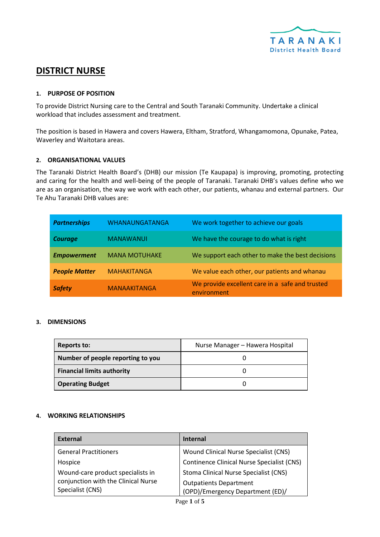

# **DISTRICT NURSE**

# **1. PURPOSE OF POSITION**

To provide District Nursing care to the Central and South Taranaki Community. Undertake a clinical workload that includes assessment and treatment.

The position is based in Hawera and covers Hawera, Eltham, Stratford, Whangamomona, Opunake, Patea, Waverley and Waitotara areas.

# **2. ORGANISATIONAL VALUES**

The Taranaki District Health Board's (DHB) our mission (Te Kaupapa) is improving, promoting, protecting and caring for the health and well-being of the people of Taranaki. Taranaki DHB's values define who we are as an organisation, the way we work with each other, our patients, whanau and external partners. Our Te Ahu Taranaki DHB values are:

| <b>Partnerships</b>  | <b>WHANAUNGATANGA</b> | We work together to achieve our goals                          |
|----------------------|-----------------------|----------------------------------------------------------------|
| <b>Courage</b>       | <b>MANAWANUI</b>      | We have the courage to do what is right                        |
| <b>Empowerment</b>   | <b>MANA MOTUHAKE</b>  | We support each other to make the best decisions               |
| <b>People Matter</b> | <b>MAHAKITANGA</b>    | We value each other, our patients and whanau                   |
| <b>Safety</b>        | <b>MANAAKITANGA</b>   | We provide excellent care in a safe and trusted<br>environment |

# **3. DIMENSIONS**

| <b>Reports to:</b>                | Nurse Manager - Hawera Hospital |
|-----------------------------------|---------------------------------|
| Number of people reporting to you |                                 |
| <b>Financial limits authority</b> |                                 |
| <b>Operating Budget</b>           |                                 |

# **4. WORKING RELATIONSHIPS**

| <b>External</b>                     | <b>Internal</b>                                   |
|-------------------------------------|---------------------------------------------------|
| <b>General Practitioners</b>        | Wound Clinical Nurse Specialist (CNS)             |
| Hospice                             | <b>Continence Clinical Nurse Specialist (CNS)</b> |
| Wound-care product specialists in   | Stoma Clinical Nurse Specialist (CNS)             |
| conjunction with the Clinical Nurse | <b>Outpatients Department</b>                     |
| Specialist (CNS)                    | (OPD)/Emergency Department (ED)/                  |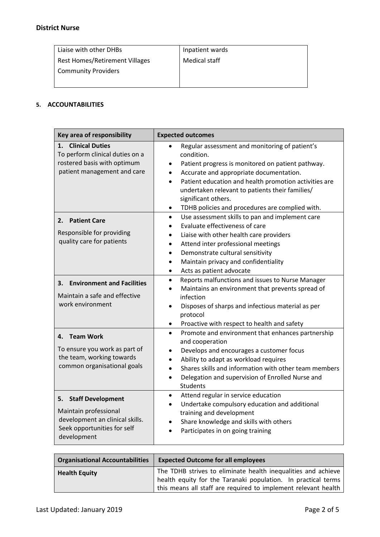| Liaise with other DHBs         | Inpatient wards |
|--------------------------------|-----------------|
| Rest Homes/Retirement Villages | Medical staff   |
| Community Providers            |                 |
|                                |                 |

# **5. ACCOUNTABILITIES**

| Key area of responsibility                                                                                                               | <b>Expected outcomes</b>                                                                                                                                                                                                                                                                                                                                                                       |
|------------------------------------------------------------------------------------------------------------------------------------------|------------------------------------------------------------------------------------------------------------------------------------------------------------------------------------------------------------------------------------------------------------------------------------------------------------------------------------------------------------------------------------------------|
| <b>Clinical Duties</b><br>1.<br>To perform clinical duties on a<br>rostered basis with optimum<br>patient management and care            | Regular assessment and monitoring of patient's<br>condition.<br>Patient progress is monitored on patient pathway.<br>٠<br>Accurate and appropriate documentation.<br>$\bullet$<br>Patient education and health promotion activities are<br>$\bullet$<br>undertaken relevant to patients their families/<br>significant others.<br>TDHB policies and procedures are complied with.<br>$\bullet$ |
| 2. Patient Care<br>Responsible for providing<br>quality care for patients                                                                | Use assessment skills to pan and implement care<br>$\bullet$<br>Evaluate effectiveness of care<br>Liaise with other health care providers<br>Attend inter professional meetings<br>Demonstrate cultural sensitivity<br>$\bullet$<br>Maintain privacy and confidentiality<br>$\bullet$<br>Acts as patient advocate<br>$\bullet$                                                                 |
| <b>Environment and Facilities</b><br>3.<br>Maintain a safe and effective<br>work environment                                             | Reports malfunctions and issues to Nurse Manager<br>$\bullet$<br>Maintains an environment that prevents spread of<br>infection<br>Disposes of sharps and infectious material as per<br>$\bullet$<br>protocol<br>Proactive with respect to health and safety<br>$\bullet$                                                                                                                       |
| 4. Team Work<br>To ensure you work as part of<br>the team, working towards<br>common organisational goals                                | Promote and environment that enhances partnership<br>$\bullet$<br>and cooperation<br>Develops and encourages a customer focus<br>$\bullet$<br>Ability to adapt as workload requires<br>$\bullet$<br>Shares skills and information with other team members<br>Delegation and supervision of Enrolled Nurse and<br><b>Students</b>                                                               |
| <b>Staff Development</b><br>5.<br>Maintain professional<br>development an clinical skills.<br>Seek opportunities for self<br>development | Attend regular in service education<br>٠<br>Undertake compulsory education and additional<br>training and development<br>Share knowledge and skills with others<br>Participates in on going training                                                                                                                                                                                           |

| <b>Organisational Accountabilities</b> | <b>Expected Outcome for all employees</b>                                                                                                                                                        |
|----------------------------------------|--------------------------------------------------------------------------------------------------------------------------------------------------------------------------------------------------|
| <b>Health Equity</b>                   | The TDHB strives to eliminate health inequalities and achieve<br>health equity for the Taranaki population. In practical terms<br>this means all staff are required to implement relevant health |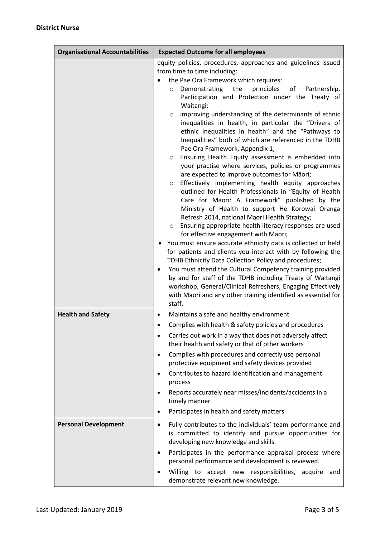| <b>Organisational Accountabilities</b> | <b>Expected Outcome for all employees</b>                                                                                                                                                                                                                                                                                                                                                                                                                                                                                                                                                                                                                                                                                                                                                                                                                                                                                                                                                                                                                                                                                                                                                                                                                                                                                                                                                                                                                                                                                                                                                                    |
|----------------------------------------|--------------------------------------------------------------------------------------------------------------------------------------------------------------------------------------------------------------------------------------------------------------------------------------------------------------------------------------------------------------------------------------------------------------------------------------------------------------------------------------------------------------------------------------------------------------------------------------------------------------------------------------------------------------------------------------------------------------------------------------------------------------------------------------------------------------------------------------------------------------------------------------------------------------------------------------------------------------------------------------------------------------------------------------------------------------------------------------------------------------------------------------------------------------------------------------------------------------------------------------------------------------------------------------------------------------------------------------------------------------------------------------------------------------------------------------------------------------------------------------------------------------------------------------------------------------------------------------------------------------|
|                                        | equity policies, procedures, approaches and guidelines issued<br>from time to time including:<br>the Pae Ora Framework which requires:<br>the<br>principles<br>Demonstrating<br>of<br>Partnership,<br>$\circ$<br>Participation and Protection under the Treaty of<br>Waitangi;<br>improving understanding of the determinants of ethnic<br>$\circ$<br>inequalities in health, in particular the "Drivers of<br>ethnic inequalities in health" and the "Pathways to<br>Inequalities" both of which are referenced in the TDHB<br>Pae Ora Framework, Appendix 1;<br>Ensuring Health Equity assessment is embedded into<br>$\circ$<br>your practise where services, policies or programmes<br>are expected to improve outcomes for Māori;<br>Effectively implementing health equity approaches<br>$\circ$<br>outlined for Health Professionals in "Equity of Health<br>Care for Maori: A Framework" published by the<br>Ministry of Health to support He Korowai Oranga<br>Refresh 2014, national Maori Health Strategy;<br>Ensuring appropriate health literacy responses are used<br>$\circ$<br>for effective engagement with Māori;<br>You must ensure accurate ethnicity data is collected or held<br>for patients and clients you interact with by following the<br>TDHB Ethnicity Data Collection Policy and procedures;<br>You must attend the Cultural Competency training provided<br>$\bullet$<br>by and for staff of the TDHB including Treaty of Waitangi<br>workshop, General/Clinical Refreshers, Engaging Effectively<br>with Maori and any other training identified as essential for<br>staff. |
| <b>Health and Safety</b>               | Maintains a safe and healthy environment<br>$\bullet$<br>Complies with health & safety policies and procedures<br>$\bullet$<br>Carries out work in a way that does not adversely affect<br>$\bullet$<br>their health and safety or that of other workers<br>Complies with procedures and correctly use personal<br>$\bullet$<br>protective equipment and safety devices provided<br>Contributes to hazard identification and management<br>$\bullet$<br>process<br>Reports accurately near misses/incidents/accidents in a<br>$\bullet$<br>timely manner<br>Participates in health and safety matters<br>$\bullet$                                                                                                                                                                                                                                                                                                                                                                                                                                                                                                                                                                                                                                                                                                                                                                                                                                                                                                                                                                                           |
| <b>Personal Development</b>            | Fully contributes to the individuals' team performance and<br>$\bullet$<br>is committed to identify and pursue opportunities for<br>developing new knowledge and skills.<br>Participates in the performance appraisal process where<br>$\bullet$<br>personal performance and development is reviewed.<br>Willing to accept new responsibilities, acquire and<br>$\bullet$<br>demonstrate relevant new knowledge.                                                                                                                                                                                                                                                                                                                                                                                                                                                                                                                                                                                                                                                                                                                                                                                                                                                                                                                                                                                                                                                                                                                                                                                             |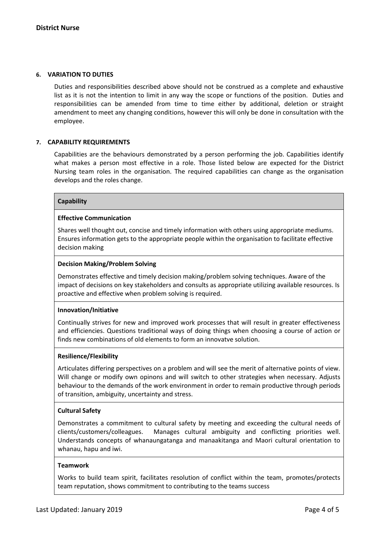### **6. VARIATION TO DUTIES**

Duties and responsibilities described above should not be construed as a complete and exhaustive list as it is not the intention to limit in any way the scope or functions of the position. Duties and responsibilities can be amended from time to time either by additional, deletion or straight amendment to meet any changing conditions, however this will only be done in consultation with the employee.

# **7. CAPABILITY REQUIREMENTS**

Capabilities are the behaviours demonstrated by a person performing the job. Capabilities identify what makes a person most effective in a role. Those listed below are expected for the District Nursing team roles in the organisation. The required capabilities can change as the organisation develops and the roles change.

#### **Capability**

#### **Effective Communication**

Shares well thought out, concise and timely information with others using appropriate mediums. Ensures information gets to the appropriate people within the organisation to facilitate effective decision making

# **Decision Making/Problem Solving**

Demonstrates effective and timely decision making/problem solving techniques. Aware of the impact of decisions on key stakeholders and consults as appropriate utilizing available resources. Is proactive and effective when problem solving is required.

#### **Innovation/Initiative**

Continually strives for new and improved work processes that will result in greater effectiveness and efficiencies. Questions traditional ways of doing things when choosing a course of action or finds new combinations of old elements to form an innovatve solution.

#### **Resilience/Flexibility**

Articulates differing perspectives on a problem and will see the merit of alternative points of view. Will change or modify own opinons and will switch to other strategies when necessary. Adjusts behaviour to the demands of the work environment in order to remain productive through periods of transition, ambiguity, uncertainty and stress.

# **Cultural Safety**

Demonstrates a commitment to cultural safety by meeting and exceeding the cultural needs of clients/customers/colleagues. Manages cultural ambiguity and conflicting priorities well. Understands concepts of whanaungatanga and manaakitanga and Maori cultural orientation to whanau, hapu and iwi.

# **Teamwork**

Works to build team spirit, facilitates resolution of conflict within the team, promotes/protects team reputation, shows commitment to contributing to the teams success